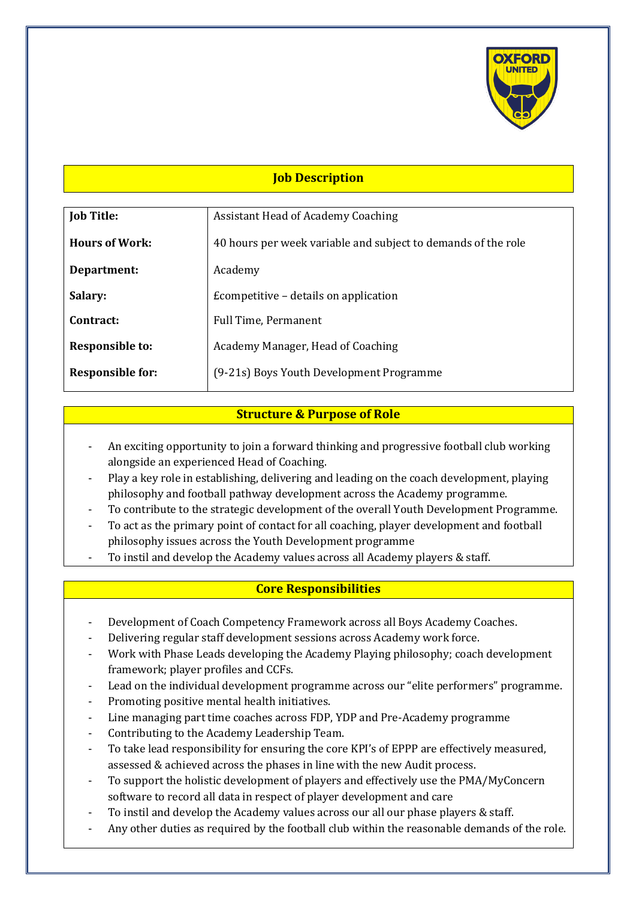

## **Job Description**

| <b>Job Title:</b>       | <b>Assistant Head of Academy Coaching</b>                     |
|-------------------------|---------------------------------------------------------------|
|                         |                                                               |
| <b>Hours of Work:</b>   | 40 hours per week variable and subject to demands of the role |
|                         |                                                               |
| Department:             | Academy                                                       |
|                         |                                                               |
| Salary:                 | Ecompetitive – details on application                         |
|                         |                                                               |
| Contract:               | Full Time, Permanent                                          |
|                         |                                                               |
| <b>Responsible to:</b>  | Academy Manager, Head of Coaching                             |
|                         |                                                               |
| <b>Responsible for:</b> | (9-21s) Boys Youth Development Programme                      |
|                         |                                                               |

# **Structure & Purpose of Role**

- An exciting opportunity to join a forward thinking and progressive football club working alongside an experienced Head of Coaching.
- Play a key role in establishing, delivering and leading on the coach development, playing philosophy and football pathway development across the Academy programme.
- To contribute to the strategic development of the overall Youth Development Programme.
- To act as the primary point of contact for all coaching, player development and football philosophy issues across the Youth Development programme
- To instil and develop the Academy values across all Academy players & staff.

### **Core Responsibilities**

- Development of Coach Competency Framework across all Boys Academy Coaches.
- Delivering regular staff development sessions across Academy work force.
- Work with Phase Leads developing the Academy Playing philosophy; coach development framework; player profiles and CCFs.
- Lead on the individual development programme across our "elite performers" programme.
- Promoting positive mental health initiatives.
- Line managing part time coaches across FDP, YDP and Pre-Academy programme
- Contributing to the Academy Leadership Team.
- To take lead responsibility for ensuring the core KPI's of EPPP are effectively measured, assessed & achieved across the phases in line with the new Audit process.
- To support the holistic development of players and effectively use the PMA/MyConcern software to record all data in respect of player development and care
- To instil and develop the Academy values across our all our phase players & staff.
- Any other duties as required by the football club within the reasonable demands of the role.